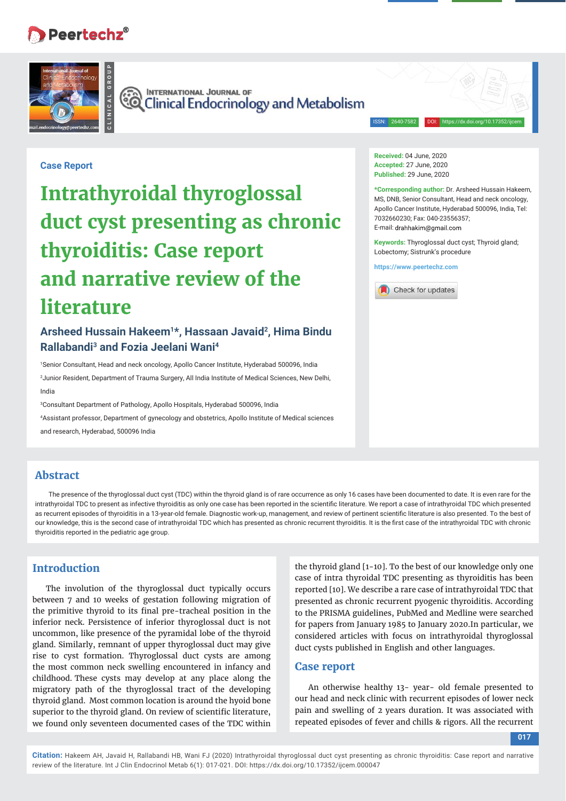# Peertechz<sup>®</sup>



**CO INTERNATIONAL JOURNAL OF**<br>CO Clinical Endocrinology and Metabolism

ISSN: 2640-7582 DOI: https://dx.doi.org/10.17352/ijcem

### **Case Report**

**Intrathyroidal thyroglossal duct cyst presenting as chronic thyroiditis: Case report and narrative review of the literature**

# **Arsheed Hussain Hakeem1\*, Hassaan Javaid2, Hima Bindu Rallabandi3 and Fozia Jeelani Wani4**

1 Senior Consultant, Head and neck oncology, Apollo Cancer Institute, Hyderabad 500096, India 2 Junior Resident, Department of Trauma Surgery, All India Institute of Medical Sciences, New Delhi, India

3 Consultant Department of Pathology, Apollo Hospitals, Hyderabad 500096, India 4 Assistant professor, Department of gynecology and obstetrics, Apollo Institute of Medical sciences and research, Hyderabad, 500096 India

#### **Received:** 04 June, 2020 **Accepted:** 27 June, 2020 **Published:** 29 June, 2020

**\*Corresponding author:** Dr. Arsheed Hussain Hakeem, MS, DNB, Senior Consultant, Head and neck oncology, Apollo Cancer Institute, Hyderabad 500096, India, Tel: 7032660230; Fax: 040-23556357; E-mail: drahhakim@gmail.com

**Keywords:** Thyroglossal duct cyst; Thyroid gland; Lobectomy; Sistrunk's procedure

**https://www.peertechz.com**



### **Abstract**

The presence of the thyroglossal duct cyst (TDC) within the thyroid gland is of rare occurrence as only 16 cases have been documented to date. It is even rare for the intrathyroidal TDC to present as infective thyroiditis as only one case has been reported in the scientific literature. We report a case of intrathyroidal TDC which presented as recurrent episodes of thyroiditis in a 13-year-old female. Diagnostic work-up, management, and review of pertinent scientific literature is also presented. To the best of our knowledge, this is the second case of intrathyroidal TDC which has presented as chronic recurrent thyroiditis. It is the first case of the intrathyroidal TDC with chronic thyroiditis reported in the pediatric age group.

## **Introduction**

The involution of the thyroglossal duct typically occurs between 7 and 10 weeks of gestation following migration of the primitive thyroid to its final pre-tracheal position in the inferior neck. Persistence of inferior thyroglossal duct is not uncommon, like presence of the pyramidal lobe of the thyroid gland. Similarly, remnant of upper thyroglossal duct may give rise to cyst formation. Thyroglossal duct cysts are among the most common neck swelling encountered in infancy and childhood. These cysts may develop at any place along the migratory path of the thyroglossal tract of the developing thyroid gland. Most common location is around the hyoid bone superior to the thyroid gland. On review of scientific literature, we found only seventeen documented cases of the TDC within

the thyroid gland [1-10]. To the best of our knowledge only one case of intra thyroidal TDC presenting as thyroiditis has been reported [10]. We describe a rare case of intrathyroidal TDC that presented as chronic recurrent pyogenic thyroiditis. According to the PRISMA guidelines, PubMed and Medline were searched for papers from January 1985 to January 2020.In particular, we considered articles with focus on intrathyroidal thyroglossal duct cysts published in English and other languages.

#### **Case report**

An otherwise healthy 13- year- old female presented to our head and neck clinic with recurrent episodes of lower neck pain and swelling of 2 years duration. It was associated with repeated episodes of fever and chills & rigors. All the recurrent

#### **017**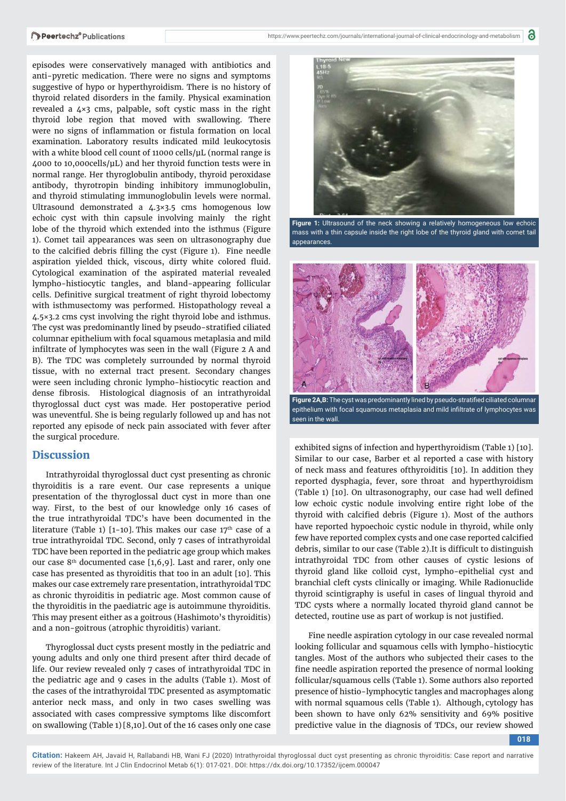episodes were conservatively managed with antibiotics and anti-pyretic medication. There were no signs and symptoms suggestive of hypo or hyperthyroidism. There is no history of thyroid related disorders in the family. Physical examination revealed a 4×3 cms, palpable, soft cystic mass in the right thyroid lobe region that moved with swallowing. There were no signs of inflammation or fistula formation on local examination. Laboratory results indicated mild leukocytosis with a white blood cell count of 11000 cells/μL (normal range is 4000 to 10,000cells/μL) and her thyroid function tests were in normal range. Her thyroglobulin antibody, thyroid peroxidase antibody, thyrotropin binding inhibitory immunoglobulin, and thyroid stimulating immunoglobulin levels were normal. Ultrasound demonstrated a 4.3×3.5 cms homogenous low echoic cyst with thin capsule involving mainly the right lobe of the thyroid which extended into the isthmus (Figure 1). Comet tail appearances was seen on ultrasonography due to the calcified debris filling the cyst (Figure 1). Fine needle aspiration yielded thick, viscous, dirty white colored fluid. Cytological examination of the aspirated material revealed lympho-histiocytic tangles, and bland-appearing follicular cells. Definitive surgical treatment of right thyroid lobectomy with isthmusectomy was performed. Histopathology reveal a 4.5×3.2 cms cyst involving the right thyroid lobe and isthmus. The cyst was predominantly lined by pseudo-stratified ciliated columnar epithelium with focal squamous metaplasia and mild infiltrate of lymphocytes was seen in the wall (Figure 2 A and B). The TDC was completely surrounded by normal thyroid tissue, with no external tract present. Secondary changes were seen including chronic lympho-histiocytic reaction and dense fibrosis. Histological diagnosis of an intrathyroidal thyroglossal duct cyst was made. Her postoperative period was uneventful. She is being regularly followed up and has not reported any episode of neck pain associated with fever after the surgical procedure.

### **Discussion**

Intrathyroidal thyroglossal duct cyst presenting as chronic thyroiditis is a rare event. Our case represents a unique presentation of the thyroglossal duct cyst in more than one way. First, to the best of our knowledge only 16 cases of the true intrathyroidal TDC's have been documented in the literature (Table 1) [1-10]. This makes our case  $17<sup>th</sup>$  case of a true intrathyroidal TDC. Second, only 7 cases of intrathyroidal TDC have been reported in the pediatric age group which makes our case  $8<sup>th</sup>$  documented case  $[1,6,9]$ . Last and rarer, only one case has presented as thyroiditis that too in an adult [10]. This makes our case extremely rare presentation, intrathyroidal TDC as chronic thyroiditis in pediatric age. Most common cause of the thyroiditis in the paediatric age is autoimmune thyroiditis. This may present either as a goitrous (Hashimoto's thyroiditis) and a non-goitrous (atrophic thyroiditis) variant.

Thyroglossal duct cysts present mostly in the pediatric and young adults and only one third present after third decade of life. Our review revealed only 7 cases of intrathyroidal TDC in the pediatric age and 9 cases in the adults (Table 1). Most of the cases of the intrathyroidal TDC presented as asymptomatic anterior neck mass, and only in two cases swelling was associated with cases compressive symptoms like discomfort on swallowing (Table 1) [8,10]. Out of the 16 cases only one case



**Figure 1:** Ultrasound of the neck showing a relatively homogeneous low echoic mass with a thin capsule inside the right lobe of the thyroid gland with comet tail appearances.



epithelium with focal squamous metaplasia and mild infiltrate of lymphocytes was seen in the wall.

exhibited signs of infection and hyperthyroidism (Table 1) [10]. Similar to our case, Barber et al reported a case with history of neck mass and features ofthyroiditis [10]. In addition they reported dysphagia, fever, sore throat and hyperthyroidism (Table 1) [10]. On ultrasonography, our case had well defined low echoic cystic nodule involving entire right lobe of the thyroid with calcified debris (Figure 1). Most of the authors have reported hypoechoic cystic nodule in thyroid, while only few have reported complex cysts and one case reported calcified debris, similar to our case (Table 2). It is difficult to distinguish intrathyroidal TDC from other causes of cystic lesions of thyroid gland like colloid cyst, lympho-epithelial cyst and branchial cleft cysts clinically or imaging. While Radionuclide thyroid scintigraphy is useful in cases of lingual thyroid and TDC cysts where a normally located thyroid gland cannot be detected, routine use as part of workup is not justified.

Fine needle aspiration cytology in our case revealed normal looking follicular and squamous cells with lympho-histiocytic tangles. Most of the authors who subjected their cases to the fine needle aspiration reported the presence of normal looking follicular/squamous cells (Table 1). Some authors also reported presence of histio-lymphocytic tangles and macrophages along with normal squamous cells (Table 1). Although, cytology has been shown to have only 62% sensitivity and 69% positive predictive value in the diagnosis of TDCs, our review showed

**018**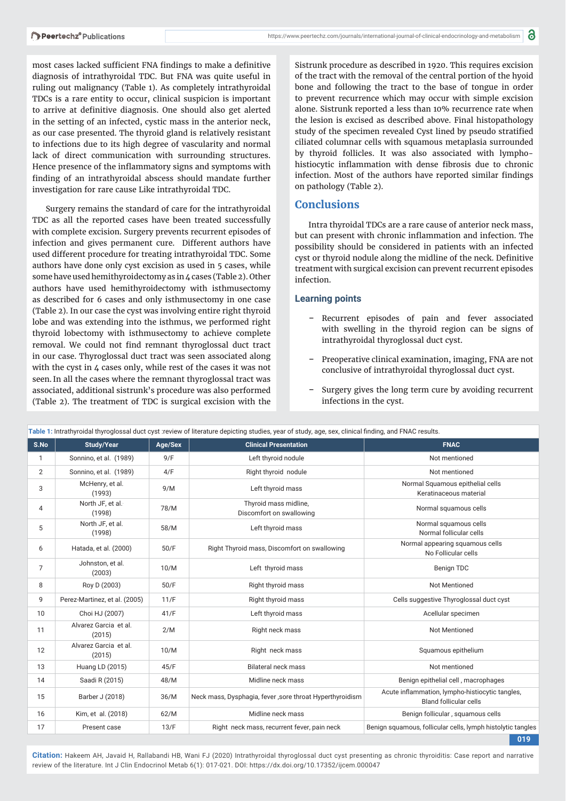most cases lacked sufficient FNA findings to make a definitive diagnosis of intrathyroidal TDC. But FNA was quite useful in ruling out malignancy (Table 1). As completely intrathyroidal TDCs is a rare entity to occur, clinical suspicion is important to arrive at definitive diagnosis. One should also get alerted in the setting of an infected, cystic mass in the anterior neck, as our case presented. The thyroid gland is relatively resistant to infections due to its high degree of vascularity and normal lack of direct communication with surrounding structures. Hence presence of the inflammatory signs and symptoms with finding of an intrathyroidal abscess should mandate further investigation for rare cause Like intrathyroidal TDC.

Surgery remains the standard of care for the intrathyroidal TDC as all the reported cases have been treated successfully with complete excision. Surgery prevents recurrent episodes of infection and gives permanent cure. Different authors have used different procedure for treating intrathyroidal TDC. Some authors have done only cyst excision as used in 5 cases, while some have used hemithyroidectomy as in 4 cases (Table 2). Other authors have used hemithyroidectomy with isthmusectomy as described for 6 cases and only isthmusectomy in one case (Table 2). In our case the cyst was involving entire right thyroid lobe and was extending into the isthmus, we performed right thyroid lobectomy with isthmusectomy to achieve complete removal. We could not find remnant thyroglossal duct tract in our case. Thyroglossal duct tract was seen associated along with the cyst in 4 cases only, while rest of the cases it was not seen. In all the cases where the remnant thyroglossal tract was associated, additional sistrunk's procedure was also performed (Table 2). The treatment of TDC is surgical excision with the

Sistrunk procedure as described in 1920. This requires excision of the tract with the removal of the central portion of the hyoid bone and following the tract to the base of tongue in order to prevent recurrence which may occur with simple excision alone. Sistrunk reported a less than 10% recurrence rate when the lesion is excised as described above. Final histopathology study of the specimen revealed Cyst lined by pseudo stratified ciliated columnar cells with squamous metaplasia surrounded by thyroid follicles. It was also associated with lymphohistiocytic inflammation with dense fibrosis due to chronic infection. Most of the authors have reported similar findings on pathology (Table 2).

### **Conclusions**

Intra thyroidal TDCs are a rare cause of anterior neck mass, but can present with chronic inflammation and infection. The possibility should be considered in patients with an infected cyst or thyroid nodule along the midline of the neck. Definitive treatment with surgical excision can prevent recurrent episodes infection.

#### **Learning points**

- Recurrent episodes of pain and fever associated with swelling in the thyroid region can be signs of intrathyroidal thyroglossal duct cyst.
- Preoperative clinical examination, imaging, FNA are not conclusive of intrathyroidal thyroglossal duct cyst.
- Surgery gives the long term cure by avoiding recurrent infections in the cyst.

| rabic 1. maangrolaa ingrogloosal dael egst .review of illeratare depleting stadies, year of stady, age, sex, cilinear mang, and i wAO results. |                                 |         |                                                          |                                                                                  |  |  |  |  |
|------------------------------------------------------------------------------------------------------------------------------------------------|---------------------------------|---------|----------------------------------------------------------|----------------------------------------------------------------------------------|--|--|--|--|
| S.No                                                                                                                                           | <b>Study/Year</b>               | Age/Sex | <b>Clinical Presentation</b>                             | <b>FNAC</b>                                                                      |  |  |  |  |
| 1                                                                                                                                              | Sonnino, et al. (1989)          | 9/F     | Left thyroid nodule                                      | Not mentioned                                                                    |  |  |  |  |
| 2                                                                                                                                              | Sonnino, et al. (1989)          | 4/F     | Right thyroid nodule                                     | Not mentioned                                                                    |  |  |  |  |
| 3                                                                                                                                              | McHenry, et al.<br>(1993)       | 9/M     | Left thyroid mass                                        | Normal Squamous epithelial cells<br>Keratinaceous material                       |  |  |  |  |
| 4                                                                                                                                              | North JF, et al.<br>(1998)      | 78/M    | Thyroid mass midline,<br>Discomfort on swallowing        | Normal squamous cells                                                            |  |  |  |  |
| 5                                                                                                                                              | North JF, et al.<br>(1998)      | 58/M    | Left thyroid mass                                        | Normal squamous cells<br>Normal follicular cells                                 |  |  |  |  |
| 6                                                                                                                                              | Hatada, et al. (2000)           | 50/F    | Right Thyroid mass, Discomfort on swallowing             | Normal appearing squamous cells<br>No Follicular cells                           |  |  |  |  |
| $\overline{7}$                                                                                                                                 | Johnston, et al.<br>(2003)      | 10/M    | Left thyroid mass                                        | Benign TDC                                                                       |  |  |  |  |
| 8                                                                                                                                              | Roy D (2003)                    | 50/F    | Right thyroid mass                                       | <b>Not Mentioned</b>                                                             |  |  |  |  |
| 9                                                                                                                                              | Perez-Martinez, et al. (2005)   | 11/F    | Right thyroid mass                                       | Cells suggestive Thyroglossal duct cyst                                          |  |  |  |  |
| 10                                                                                                                                             | Choi HJ (2007)                  | 41/F    | Left thyroid mass                                        | Acellular specimen                                                               |  |  |  |  |
| 11                                                                                                                                             | Alvarez Garcia et al.<br>(2015) | 2/M     | Right neck mass                                          | <b>Not Mentioned</b>                                                             |  |  |  |  |
| 12                                                                                                                                             | Alvarez Garcia et al.<br>(2015) | 10/M    | Right neck mass                                          | Squamous epithelium                                                              |  |  |  |  |
| 13                                                                                                                                             | Huang LD (2015)                 | 45/F    | <b>Bilateral neck mass</b>                               | Not mentioned                                                                    |  |  |  |  |
| 14                                                                                                                                             | Saadi R (2015)                  | 48/M    | Midline neck mass                                        | Benign epithelial cell, macrophages                                              |  |  |  |  |
| 15                                                                                                                                             | Barber J (2018)                 | 36/M    | Neck mass, Dysphagia, fever, sore throat Hyperthyroidism | Acute inflammation, lympho-histiocytic tangles,<br><b>Bland follicular cells</b> |  |  |  |  |
| 16                                                                                                                                             | Kim, et al. (2018)              | 62/M    | Midline neck mass                                        | Benign follicular, squamous cells                                                |  |  |  |  |
| 17                                                                                                                                             | Present case                    | 13/F    | Right neck mass, recurrent fever, pain neck              | Benign squamous, follicular cells, lymph histolytic tangles                      |  |  |  |  |
|                                                                                                                                                |                                 |         |                                                          | 019                                                                              |  |  |  |  |

 **Table 1:** Intrathyroidal thyroglossal duct cyst :review of literature depicting studies, year of study, age, sex, clinical fi nding, and FNAC results.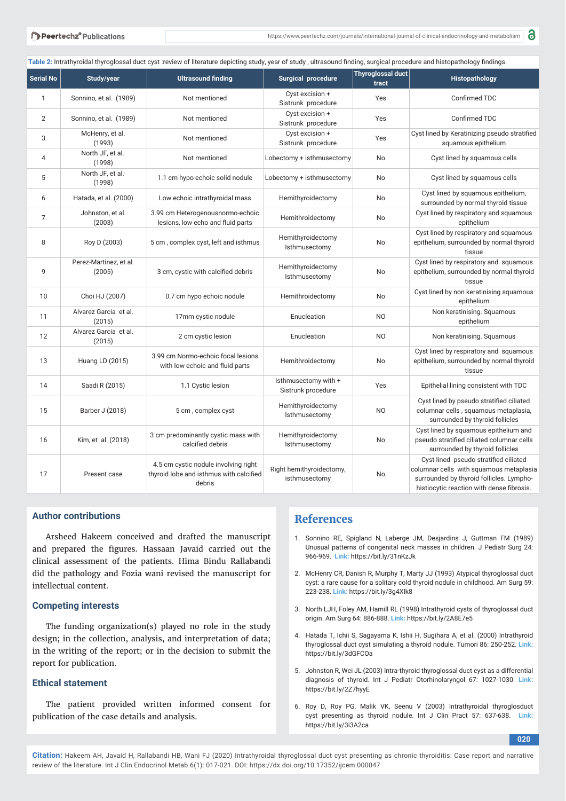Table 2: Intrathyroidal thyroglossal duct cyst :review of literature depicting study, year of study, ultrasound finding, surgical procedure and histopathology findings.

| <b>Serial No</b> | Study/year                       | <b>Ultrasound finding</b>                                                                 | Surgical procedure                         | <b>Thyroglossal duct</b><br>tract | Histopathology                                                                                                                                                            |
|------------------|----------------------------------|-------------------------------------------------------------------------------------------|--------------------------------------------|-----------------------------------|---------------------------------------------------------------------------------------------------------------------------------------------------------------------------|
| $\mathbf{1}$     | Sonnino, et al. (1989)           | Not mentioned                                                                             | Cyst excision +<br>Sistrunk procedure      | Yes                               | Confirmed TDC                                                                                                                                                             |
| 2                | Sonnino, et al. (1989)           | Not mentioned                                                                             | Cyst excision +<br>Sistrunk procedure      | Yes                               | Confirmed TDC                                                                                                                                                             |
| 3                | McHenry, et al.<br>(1993)        | Not mentioned                                                                             | Cyst excision +<br>Sistrunk procedure      | Yes                               | Cyst lined by Keratinizing pseudo stratified<br>squamous epithelium                                                                                                       |
| $\overline{4}$   | North JF, et al.<br>(1998)       | Not mentioned                                                                             | Lobectomy + isthmusectomy                  | No                                | Cyst lined by squamous cells                                                                                                                                              |
| 5                | North JF, et al.<br>(1998)       | 1.1 cm hypo echoic solid nodule                                                           | Lobectomy + isthmusectomy                  | No                                | Cyst lined by squamous cells                                                                                                                                              |
| 6                | Hatada, et al. (2000)            | Low echoic intrathyroidal mass                                                            | Hemithyroidectomy                          | No                                | Cyst lined by squamous epithelium,<br>surrounded by normal thyroid tissue                                                                                                 |
| $\overline{7}$   | Johnston, et al.<br>(2003)       | 3.99 cm Heterogenousnormo-echoic<br>lesions, low echo and fluid parts                     | Hemithroidectomy                           | No                                | Cyst lined by respiratory and squamous<br>epithelium                                                                                                                      |
| 8                | Roy D (2003)                     | 5 cm, complex cyst, left and isthmus                                                      | Hemithyroidectomy<br>Isthmusectomy         | No                                | Cyst lined by respiratory and squamous<br>epithelium, surrounded by normal thyroid<br>tissue                                                                              |
| 9                | Perez-Martinez, et al.<br>(2005) | 3 cm, cystic with calcified debris                                                        | Hemithyroidectomy<br>Isthmusectomy         | No                                | Cyst lined by respiratory and squamous<br>epithelium, surrounded by normal thyroid<br>tissue                                                                              |
| 10               | Choi HJ (2007)                   | 0.7 cm hypo echoic nodule                                                                 | Hemithroidectomy                           | No                                | Cyst lined by non keratinising squamous<br>epithelium                                                                                                                     |
| 11               | Alvarez Garcia et al.<br>(2015)  | 17mm cystic nodule                                                                        | Enucleation                                | N <sub>O</sub>                    | Non keratinising. Squamous<br>epithelium                                                                                                                                  |
| 12               | Alvarez Garcia et al.<br>(2015)  | 2 cm cystic lesion                                                                        | Enucleation                                | N <sub>O</sub>                    | Non keratinising. Squamous                                                                                                                                                |
| 13               | Huang LD (2015)                  | 3.99 cm Normo-echoic focal lesions<br>with low echoic and fluid parts                     | Hemithroidectomy                           | No                                | Cyst lined by respiratory and squamous<br>epithelium, surrounded by normal thyroid<br>tissue                                                                              |
| 14               | Saadi R (2015)                   | 1.1 Cystic lesion                                                                         | Isthmusectomy with +<br>Sistrunk procedure | Yes                               | Epithelial lining consistent with TDC                                                                                                                                     |
| 15               | Barber J (2018)                  | 5 cm, complex cyst                                                                        | Hemithyroidectomy<br>Isthmusectomy         | N <sub>O</sub>                    | Cyst lined by pseudo stratified ciliated<br>columnar cells, squamous metaplasia,<br>surrounded by thyroid follicles                                                       |
| 16               | Kim, et al. (2018)               | 3 cm predominantly cystic mass with<br>calcified debris                                   | Hemithyroidectomy<br>Isthmusectomy         | No                                | Cyst lined by squamous epithelium and<br>pseudo stratified ciliated columnar cells<br>surrounded by thyroid follicles                                                     |
| 17               | Present case                     | 4.5 cm cystic nodule involving right<br>thyroid lobe and isthmus with calcified<br>debris | Right hemithyroidectomy,<br>isthmusectomy  | No                                | Cyst lined pseudo stratified ciliated<br>columnar cells with squamous metaplasia<br>surrounded by thyroid follicles. Lympho-<br>histiocytic reaction with dense fibrosis. |

### **Author contributions**

Arsheed Hakeem conceived and drafted the manuscript and prepared the figures. Hassaan Javaid carried out the clinical assessment of the patients. Hima Bindu Rallabandi did the pathology and Fozia wani revised the manuscript for intellectual content.

#### **Competing interests**

The funding organization(s) played no role in the study design; in the collection, analysis, and interpretation of data; in the writing of the report; or in the decision to submit the report for publication.

#### **Ethical statement**

The patient provided written informed consent for publication of the case details and analysis.

### **References**

- 1. Sonnino RE, Spigland N, Laberge JM, Desjardins J, Guttman FM (1989) Unusual patterns of congenital neck masses in children. J Pediatr Surg 24: 966-969. **Link:** https://bit.ly/31nKzJk
- 2. McHenry CR, Danish R, Murphy T, Marty JJ (1993) Atypical thyroglossal duct cyst: a rare cause for a solitary cold thyroid nodule in childhood. Am Surg 59: 223-238. **Link:** https://bit.ly/3g4Xlk8
- 3. North LJH, Foley AM, Hamill RL (1998) Intrathyroid cysts of thyroglossal duct origin. Am Surg 64: 886-888. **Link:** https://bit.ly/2A8E7e5
- 4. Hatada T, Ichii S, Sagayama K, Ishii H, Sugihara A, et al. (2000) Intrathyroid thyroglossal duct cyst simulating a thyroid nodule. Tumori 86: 250-252. **Link:** https://bit.ly/3dGFCOa
- 5. Johnston R, Wei JL (2003) Intra-thyroid thyroglossal duct cyst as a differential diagnosis of thyroid. Int J Pediatr Otorhinolaryngol 67: 1027-1030. **Link:** https://bit.ly/2Z7hyyE
- 6. Roy D, Roy PG, Malik VK, Seenu V (2003) Intrathyroidal thyroglosduct cyst presenting as thyroid nodule. Int J Clin Pract 57: 637-638. **Link:**  https://bit.ly/3i3A2ca

**020**